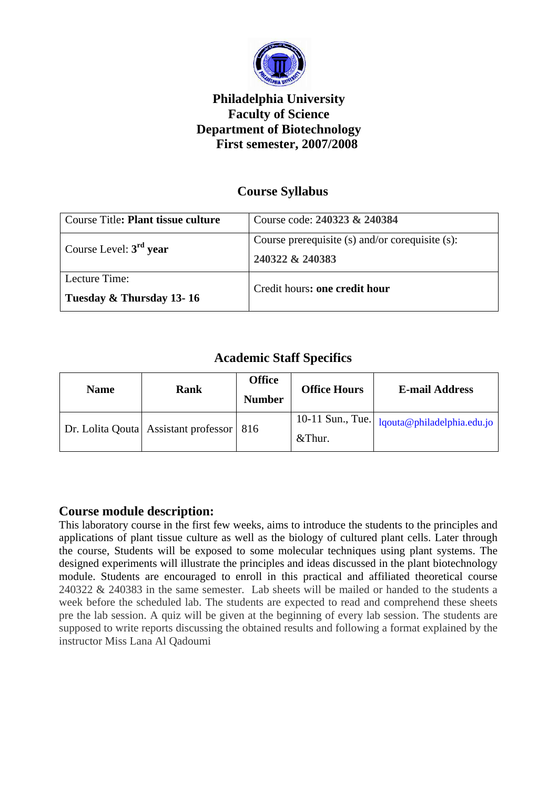

# **Philadelphia University Faculty of Science Department of Biotechnology First semester, 2007/2008**

## **Course Syllabus**

| Course Title: <b>Plant tissue culture</b> | Course code: 240323 & 240384                    |  |
|-------------------------------------------|-------------------------------------------------|--|
| Course Level: $3rd$ year                  | Course prerequisite (s) and/or corequisite (s): |  |
|                                           | 240322 & 240383                                 |  |
| Lecture Time:                             | Credit hours: one credit hour                   |  |
| Tuesday & Thursday 13-16                  |                                                 |  |

## **Academic Staff Specifics**

| <b>Name</b> | Rank                                       | <b>Office</b><br><b>Number</b> | <b>Office Hours</b> | <b>E-mail Address</b>                           |
|-------------|--------------------------------------------|--------------------------------|---------------------|-------------------------------------------------|
|             | Dr. Lolita Qouta Assistant professor   816 |                                | &Thur.              | 10-11 Sun., Tue.   $lqouta@philadelphia.edu.io$ |
|             |                                            |                                |                     |                                                 |

### **Course module description:**

This laboratory course in the first few weeks, aims to introduce the students to the principles and applications of plant tissue culture as well as the biology of cultured plant cells. Later through the course, Students will be exposed to some molecular techniques using plant systems. The designed experiments will illustrate the principles and ideas discussed in the plant biotechnology module. Students are encouraged to enroll in this practical and affiliated theoretical course 240322 & 240383 in the same semester. Lab sheets will be mailed or handed to the students a week before the scheduled lab. The students are expected to read and comprehend these sheets pre the lab session. A quiz will be given at the beginning of every lab session. The students are supposed to write reports discussing the obtained results and following a format explained by the instructor Miss Lana Al Qadoumi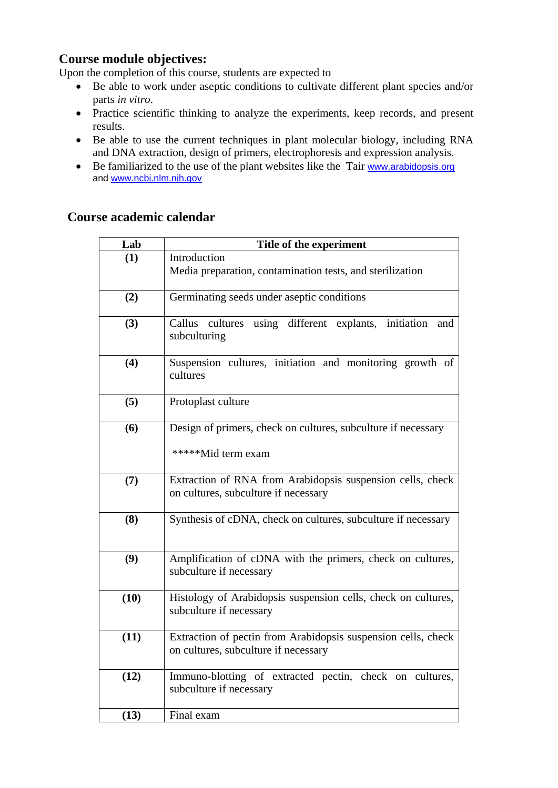### **Course module objectives:**

Upon the completion of this course, students are expected to

- Be able to work under aseptic conditions to cultivate different plant species and/or parts *in vitro*.
- Practice scientific thinking to analyze the experiments, keep records, and present results.
- Be able to use the current techniques in plant molecular biology, including RNA and DNA extraction, design of primers, electrophoresis and expression analysis.
- Be familiarized to the use of the plant websites like the Tair www.arabidopsis.org and www.ncbi.nlm.nih.gov

| Lab  | Title of the experiment                                                                               |
|------|-------------------------------------------------------------------------------------------------------|
| (1)  | Introduction                                                                                          |
|      | Media preparation, contamination tests, and sterilization                                             |
| (2)  | Germinating seeds under aseptic conditions                                                            |
| (3)  | using different explants, initiation<br>Callus cultures<br>and<br>subculturing                        |
| (4)  | Suspension cultures, initiation and monitoring growth of<br>cultures                                  |
| (5)  | Protoplast culture                                                                                    |
| (6)  | Design of primers, check on cultures, subculture if necessary<br>*****Mid term exam                   |
| (7)  | Extraction of RNA from Arabidopsis suspension cells, check<br>on cultures, subculture if necessary    |
| (8)  | Synthesis of cDNA, check on cultures, subculture if necessary                                         |
| (9)  | Amplification of cDNA with the primers, check on cultures,<br>subculture if necessary                 |
| (10) | Histology of Arabidopsis suspension cells, check on cultures,<br>subculture if necessary              |
| (11) | Extraction of pectin from Arabidopsis suspension cells, check<br>on cultures, subculture if necessary |
| (12) | Immuno-blotting of extracted pectin, check on cultures,<br>subculture if necessary                    |
| (13) | Final exam                                                                                            |

### **Course academic calendar**